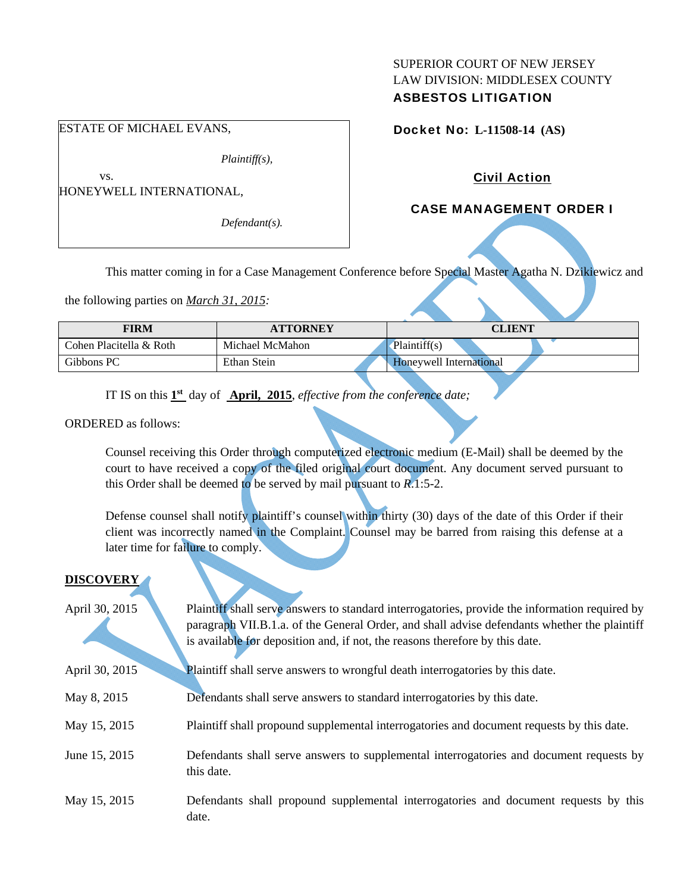## SUPERIOR COURT OF NEW JERSEY LAW DIVISION: MIDDLESEX COUNTY ASBESTOS LITIGATION

### Docket No: **L-11508-14 (AS)**

## Civil Action

## CASE MANAGEMENT ORDER I

This matter coming in for a Case Management Conference before Special Master Agatha N. Dzikiewicz and

the following parties on *March 31, 2015:* 

| <b>FIRM</b>             | <b>ATTORNEY</b> | <b>CLIENT</b>                  |
|-------------------------|-----------------|--------------------------------|
| Cohen Placitella & Roth | Michael McMahon | Plaintiff(s)                   |
| Gibbons PC              | Ethan Stein     | <b>Honeywell International</b> |

IT IS on this **1st** day of **April, 2015**, *effective from the conference date;*

ORDERED as follows:

Counsel receiving this Order through computerized electronic medium (E-Mail) shall be deemed by the court to have received a copy of the filed original court document. Any document served pursuant to this Order shall be deemed to be served by mail pursuant to *R*.1:5-2.

Defense counsel shall notify plaintiff's counsel within thirty (30) days of the date of this Order if their client was incorrectly named in the Complaint. Counsel may be barred from raising this defense at a later time for failure to comply.

# **DISCOVERY**  April 30, 2015 Plaintiff shall serve answers to standard interrogatories, provide the information required by paragraph VII.B.1.a. of the General Order, and shall advise defendants whether the plaintiff is available for deposition and, if not, the reasons therefore by this date. April 30, 2015 Plaintiff shall serve answers to wrongful death interrogatories by this date. May 8, 2015 Defendants shall serve answers to standard interrogatories by this date. May 15, 2015 Plaintiff shall propound supplemental interrogatories and document requests by this date. June 15, 2015 Defendants shall serve answers to supplemental interrogatories and document requests by this date. May 15, 2015 Defendants shall propound supplemental interrogatories and document requests by this date.

#### ESTATE OF MICHAEL EVANS,

*Plaintiff(s),* 

HONEYWELL INTERNATIONAL,

vs.

*Defendant(s).*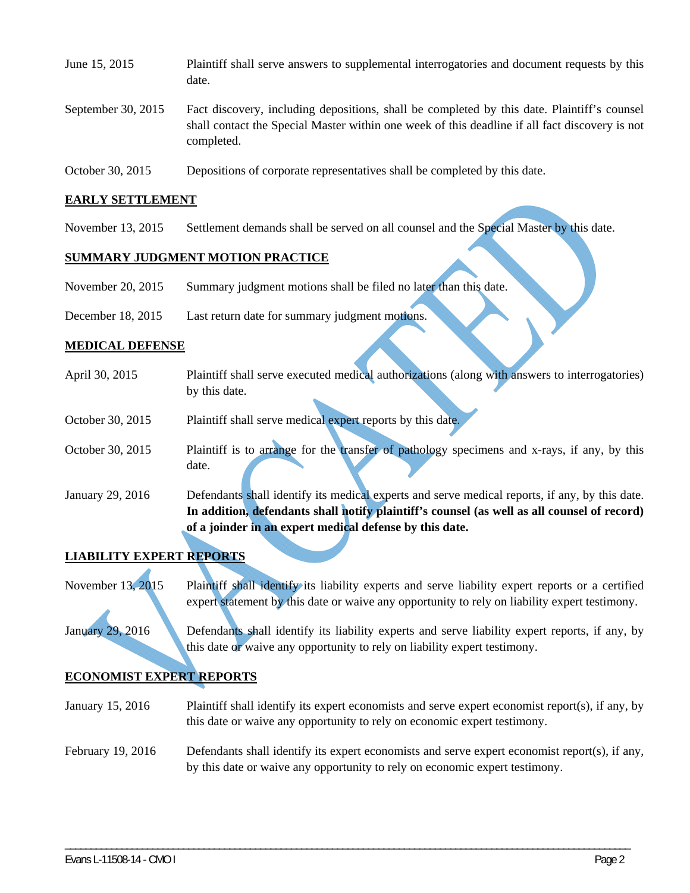| June 15, 2015        | Plaintiff shall serve answers to supplemental interrogatories and document requests by this<br>date.                                                                                                        |
|----------------------|-------------------------------------------------------------------------------------------------------------------------------------------------------------------------------------------------------------|
| September 30, $2015$ | Fact discovery, including depositions, shall be completed by this date. Plaintiff's counsel<br>shall contact the Special Master within one week of this deadline if all fact discovery is not<br>completed. |
| October 30, 2015     | Depositions of corporate representatives shall be completed by this date.                                                                                                                                   |

#### **EARLY SETTLEMENT**

November 13, 2015 Settlement demands shall be served on all counsel and the Special Master by this date.

## **SUMMARY JUDGMENT MOTION PRACTICE**

| November 20, 2015 | Summary judgment motions shall be filed no later than this date. |  |
|-------------------|------------------------------------------------------------------|--|
|-------------------|------------------------------------------------------------------|--|

December 18, 2015 Last return date for summary judgment motions.

#### **MEDICAL DEFENSE**

| April 30, 2015   | Plaintiff shall serve executed medical authorizations (along with answers to interrogatories)  |
|------------------|------------------------------------------------------------------------------------------------|
|                  | by this date.                                                                                  |
| October 30, 2015 | Plaintiff shall serve medical expert reports by this date.                                     |
|                  |                                                                                                |
| October 30, 2015 | Plaintiff is to arrange for the transfer of pathology specimens and x-rays, if any, by this    |
|                  | date.                                                                                          |
| January 29, 2016 | Defendants shall identify its medical experts and serve medical reports, if any, by this date. |
|                  | In addition, defendants shall notify plaintiff's counsel (as well as all counsel of record)    |
|                  | of a joinder in an expert medical defense by this date.                                        |
|                  |                                                                                                |

# **LIABILITY EXPERT REPORTS**

November 13, 2015 Plaintiff shall identify its liability experts and serve liability expert reports or a certified expert statement by this date or waive any opportunity to rely on liability expert testimony.

January 29, 2016 Defendants shall identify its liability experts and serve liability expert reports, if any, by this date or waive any opportunity to rely on liability expert testimony.

#### **ECONOMIST EXPERT REPORTS**

- January 15, 2016 Plaintiff shall identify its expert economists and serve expert economist report(s), if any, by this date or waive any opportunity to rely on economic expert testimony.
- February 19, 2016 Defendants shall identify its expert economists and serve expert economist report(s), if any, by this date or waive any opportunity to rely on economic expert testimony.

\_\_\_\_\_\_\_\_\_\_\_\_\_\_\_\_\_\_\_\_\_\_\_\_\_\_\_\_\_\_\_\_\_\_\_\_\_\_\_\_\_\_\_\_\_\_\_\_\_\_\_\_\_\_\_\_\_\_\_\_\_\_\_\_\_\_\_\_\_\_\_\_\_\_\_\_\_\_\_\_\_\_\_\_\_\_\_\_\_\_\_\_\_\_\_\_\_\_\_\_\_\_\_\_\_\_\_\_\_\_